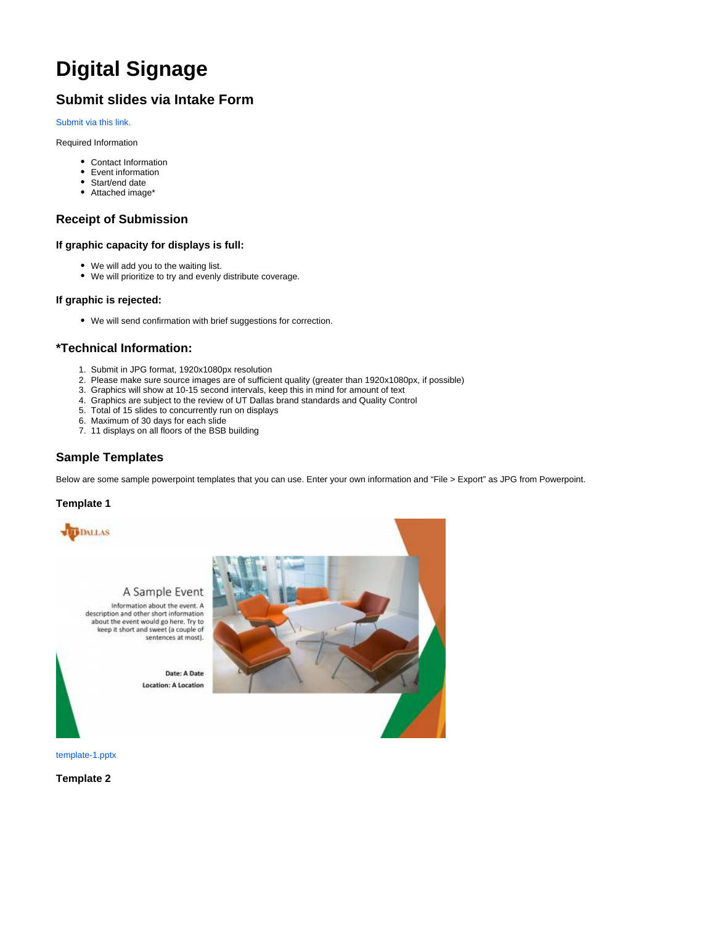# **Digital Signage**

# **Submit slides via Intake Form**

#### [Submit via this link.](https://atlas.utdallas.edu/TDClient/30/Portal/Requests/ServiceDet?ID=68)

Required Information

- Contact Information
- Event information
- Start/end date
- Attached image\*

## **Receipt of Submission**

### **If graphic capacity for displays is full:**

- We will add you to the waiting list.
- We will prioritize to try and evenly distribute coverage.

#### **If graphic is rejected:**

We will send confirmation with brief suggestions for correction.

#### **\*Technical Information:**

- 1. Submit in JPG format, 1920x1080px resolution
- 2. Please make sure source images are of sufficient quality (greater than 1920x1080px, if possible)
- 3. Graphics will show at 10-15 second intervals, keep this in mind for amount of text
- 4. Graphics are subject to the review of UT Dallas brand standards and Quality Control
- 5. Total of 15 slides to concurrently run on displays
- 6. Maximum of 30 days for each slide
- 7. 11 displays on all floors of the BSB building

## **Sample Templates**

Below are some sample powerpoint templates that you can use. Enter your own information and "File > Export" as JPG from Powerpoint.

#### **Template 1**



## A Sample Event

Information about the event. A description and other short information about the event would go here. Try to<br>keep it short and sweet (a couple of sentences at most).

> Date: A Date **Location: A Location**



[template-1.pptx](https://wiki.utdallas.edu/download/attachments/11633007/template-1.pptx?version=1&modificationDate=1608067725632&api=v2)

**Template 2**